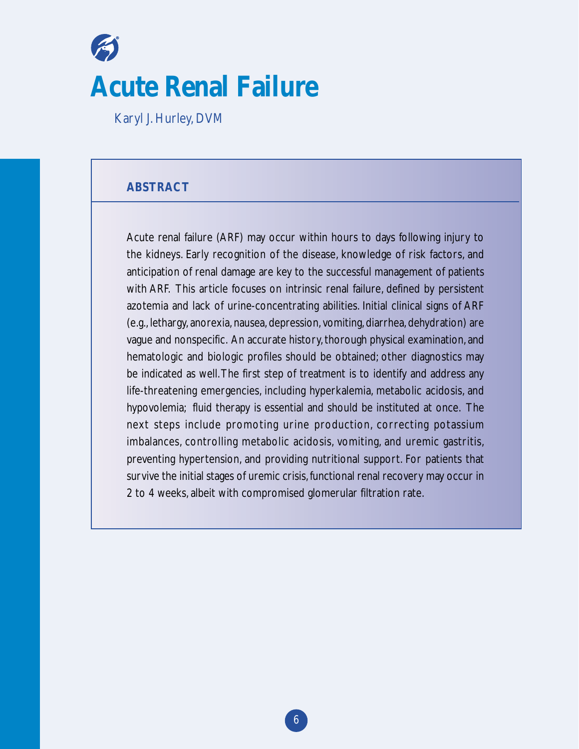# **Acute Renal Failure**

Karyl J. Hurley, DVM

# **ABSTRACT**

Acute renal failure (ARF) may occur within hours to days following injury to the kidneys. Early recognition of the disease, knowledge of risk factors, and anticipation of renal damage are key to the successful management of patients with ARF. This article focuses on intrinsic renal failure, defined by persistent azotemia and lack of urine-concentrating abilities. Initial clinical signs of ARF (e.g., lethargy, anorexia, nausea, depression, vomiting, diarrhea, dehydration) are vague and nonspecific. An accurate history, thorough physical examination, and hematologic and biologic profiles should be obtained; other diagnostics may be indicated as well.The first step of treatment is to identify and address any life-threatening emergencies, including hyperkalemia, metabolic acidosis, and hypovolemia; fluid therapy is essential and should be instituted at once. The next steps include promoting urine production, correcting potassium imbalances, controlling metabolic acidosis, vomiting, and uremic gastritis, preventing hypertension, and providing nutritional support. For patients that survive the initial stages of uremic crisis,functional renal recovery may occur in 2 to 4 weeks, albeit with compromised glomerular filtration rate.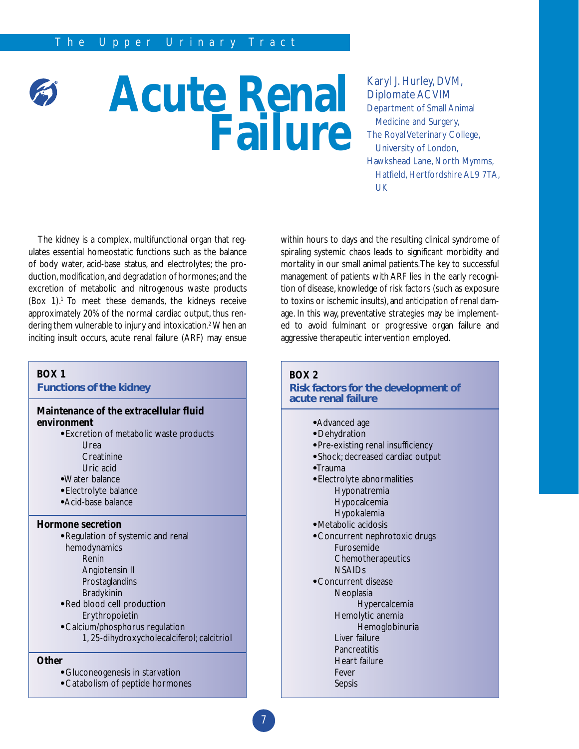# **Acute Renal Failure**

Karyl J. Hurley, DVM, Diplomate ACVIM Department of Small Animal Medicine and Surgery, The Royal Veterinary College, University of London, Hawkshead Lane, North Mymms, Hatfield, Hertfordshire AL9 7TA, UK

The kidney is a complex, multifunctional organ that regulates essential homeostatic functions such as the balance of body water, acid-base status, and electrolytes; the production, modification, and degradation of hormones; and the excretion of metabolic and nitrogenous waste products (Box  $1$ ).<sup>1</sup> To meet these demands, the kidneys receive approximately 20% of the normal cardiac output, thus rendering them vulnerable to injury and intoxication.<sup>2</sup> When an inciting insult occurs, acute renal failure (ARF) may ensue

# within hours to days and the resulting clinical syndrome of spiraling systemic chaos leads to significant morbidity and mortality in our small animal patients.The key to successful management of patients with ARF lies in the early recognition of disease, knowledge of risk factors (such as exposure to toxins or ischemic insults), and anticipation of renal damage. In this way, preventative strategies may be implemented to avoid fulminant or progressive organ failure and aggressive therapeutic intervention employed.

#### **BOX 1**

**Functions of the kidney**

## **Maintenance of the extracellular fluid environment**

- **•** Excretion of metabolic waste products
	- Urea
	- **Creatinine**
	- Uric acid
- **•**Water balance
- **•** Electrolyte balance
- **•** Acid-base balance

#### **Hormone secretion**

- **•** Regulation of systemic and renal hemodynamics Renin Angiotensin II Prostaglandins
	- Bradykinin
- **•** Red blood cell production Erythropoietin
- **•** Calcium/phosphorus regulation 1, 25-dihydroxycholecalciferol; calcitriol

# **Other**

- **•** Gluconeogenesis in starvation
- **•** Catabolism of peptide hormones

#### **BOX 2**

#### **Risk factors for the development of acute renal failure**

- **•** Advanced age
- **•** Dehydration
- **•** Pre-existing renal insufficiency
- **•** Shock; decreased cardiac output
- **•** Trauma
- **•** Electrolyte abnormalities Hyponatremia Hypocalcemia Hypokalemia
- **•** Metabolic acidosis
- **•** Concurrent nephrotoxic drugs Furosemide **Chemotherapeutics** NSAIDs
- **•** Concurrent disease
	- **Neoplasia**
	- Hypercalcemia Hemolytic anemia
	- Hemoglobinuria
	- Liver failure
	- **Pancreatitis**
	- Heart failure

# Fever

Sepsis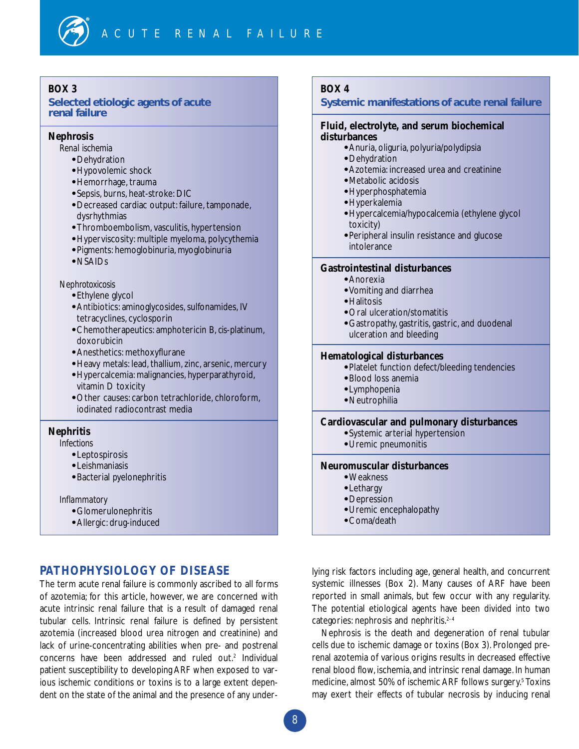**Selected etiologic agents of acute renal failure**

## **Nephrosis**

- *Renal ischemia*
	- **•** Dehydration
	- **•** Hypovolemic shock
	- **•** Hemorrhage, trauma
	- **•** Sepsis, burns, heat-stroke: DIC
	- **•** Decreased cardiac output: failure, tamponade, dysrhythmias
	- **•** Thromboembolism, vasculitis, hypertension
	- **•** Hyperviscosity: multiple myeloma, polycythemia
	- **•** Pigments: hemoglobinuria, myoglobinuria
	- **•** NSAIDs

#### *Nephrotoxicosis*

- **•** Ethylene glycol
- **•** Antibiotics: aminoglycosides, sulfonamides, IV tetracyclines, cyclosporin
- **•** Chemotherapeutics: amphotericin B,*cis*-platinum, doxorubicin
- **•** Anesthetics: methoxyflurane
- **•** Heavy metals: lead, thallium, zinc, arsenic, mercury
- **•** Hypercalcemia: malignancies, hyperparathyroid, vitamin D toxicity
- **•** Other causes: carbon tetrachloride, chloroform, iodinated radiocontrast media

# **Nephritis**

#### *Infections*

- **•** Leptospirosis
- **•** Leishmaniasis
- **•** Bacterial pyelonephritis
- *Inflammatory*
	- **•** Glomerulonephritis
	- **•** Allergic: drug-induced

# **PATHOPHYSIOLOGY OF DISEASE**

The term acute renal failure is commonly ascribed to all forms of azotemia; for this article, however, we are concerned with acute intrinsic renal failure that is a result of damaged renal tubular cells. Intrinsic renal failure is defined by persistent azotemia (increased blood urea nitrogen and creatinine) and lack of urine-concentrating abilities when pre- and postrenal concerns have been addressed and ruled out.<sup>2</sup> Individual patient susceptibility to developing ARF when exposed to various ischemic conditions or toxins is to a large extent dependent on the state of the animal and the presence of any under-

# **BOX 4**

#### **Systemic manifestations of acute renal failure**

#### **Fluid, electrolyte, and serum biochemical disturbances**

- **•** Anuria, oliguria, polyuria/polydipsia
- **•** Dehydration
- **•** Azotemia: increased urea and creatinine
- **•** Metabolic acidosis
- **•** Hyperphosphatemia
- **•** Hyperkalemia
- **•** Hypercalcemia/hypocalcemia (ethylene glycol toxicity)
- **•** Peripheral insulin resistance and glucose intolerance

#### **Gastrointestinal disturbances**

- **•** Anorexia
- **•** Vomiting and diarrhea
- **•** Halitosis
- **•** Oral ulceration/stomatitis
- **•** Gastropathy, gastritis, gastric, and duodenal ulceration and bleeding

# **Hematological disturbances**

- **•** Platelet function defect/bleeding tendencies
- **•** Blood loss anemia
- **•** Lymphopenia
- **•** Neutrophilia

#### **Cardiovascular and pulmonary disturbances**

- **•** Systemic arterial hypertension
- **•** Uremic pneumonitis

# **Neuromuscular disturbances**

- **•** Weakness
- **•** Lethargy
- **•** Depression
- **•** Uremic encephalopathy
- **•** Coma/death

lying risk factors including age, general health, and concurrent systemic illnesses (Box 2). Many causes of ARF have been reported in small animals, but few occur with any regularity. The potential etiological agents have been divided into two categories: nephrosis and nephritis.<sup>2-4</sup>

Nephrosis is the death and degeneration of renal tubular cells due to ischemic damage or toxins (Box 3). Prolonged prerenal azotemia of various origins results in decreased effective renal blood flow, ischemia, and intrinsic renal damage. In human medicine, almost 50% of ischemic ARF follows surgery.<sup>5</sup> Toxins may exert their effects of tubular necrosis by inducing renal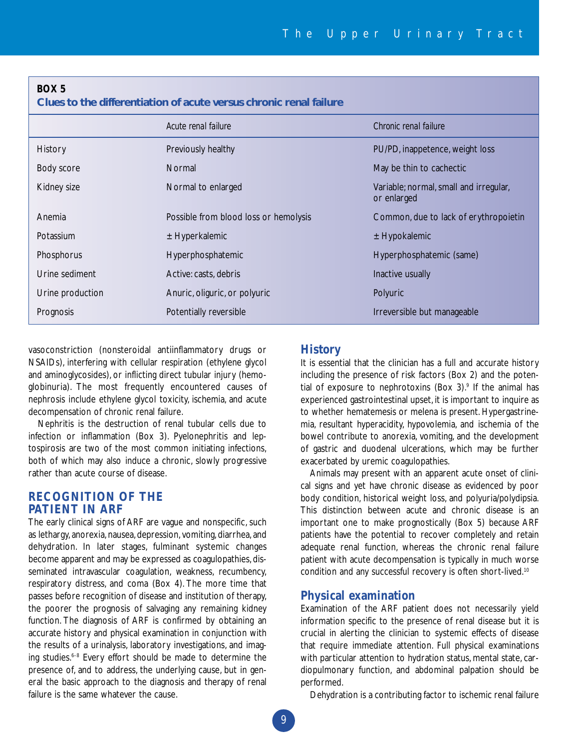**Clues to the differentiation of acute versus chronic renal failure** 

|                  | Acute renal failure                   | Chronic renal failure                                 |
|------------------|---------------------------------------|-------------------------------------------------------|
| History          | Previously healthy                    | PU/PD, inappetence, weight loss                       |
| Body score       | <b>Normal</b>                         | May be thin to cachectic                              |
| Kidney size      | Normal to enlarged                    | Variable; normal, small and irregular,<br>or enlarged |
| Anemia           | Possible from blood loss or hemolysis | Common, due to lack of erythropoietin                 |
| Potassium        | $±$ Hyperkalemic                      | $±$ Hypokalemic                                       |
| Phosphorus       | Hyperphosphatemic                     | Hyperphosphatemic (same)                              |
| Urine sediment   | Active: casts, debris                 | Inactive usually                                      |
| Urine production | Anuric, oliguric, or polyuric         | Polyuric                                              |
| Prognosis        | Potentially reversible                | Irreversible but manageable                           |

vasoconstriction (nonsteroidal antiinflammatory drugs or NSAIDs), interfering with cellular respiration (ethylene glycol and aminoglycosides), or inflicting direct tubular injury (hemoglobinuria). The most frequently encountered causes of nephrosis include ethylene glycol toxicity, ischemia, and acute decompensation of chronic renal failure.

Nephritis is the destruction of renal tubular cells due to infection or inflammation (Box 3). Pyelonephritis and leptospirosis are two of the most common initiating infections, both of which may also induce a chronic, slowly progressive rather than acute course of disease.

# **RECOGNITION OF THE PATIENT IN ARF**

The early clinical signs of ARF are vague and nonspecific, such as lethargy, anorexia, nausea, depression, vomiting, diarrhea, and dehydration. In later stages, fulminant systemic changes become apparent and may be expressed as coagulopathies, disseminated intravascular coagulation, weakness, recumbency, respiratory distress, and coma (Box 4). The more time that passes before recognition of disease and institution of therapy, the poorer the prognosis of salvaging any remaining kidney function. The diagnosis of ARF is confirmed by obtaining an accurate history and physical examination in conjunction with the results of a urinalysis, laboratory investigations, and imaging studies.<sup>6-8</sup> Every effort should be made to determine the presence of, and to address, the underlying cause, but in general the basic approach to the diagnosis and therapy of renal failure is the same whatever the cause.

# **History**

It is essential that the clinician has a full and accurate history including the presence of risk factors (Box 2) and the potential of exposure to nephrotoxins (Box 3).<sup>9</sup> If the animal has experienced gastrointestinal upset, it is important to inquire as to whether hematemesis or melena is present. Hypergastrinemia, resultant hyperacidity, hypovolemia, and ischemia of the bowel contribute to anorexia, vomiting, and the development of gastric and duodenal ulcerations, which may be further exacerbated by uremic coagulopathies.

Animals may present with an apparent acute onset of clinical signs and yet have chronic disease as evidenced by poor body condition, historical weight loss, and polyuria/polydipsia. This distinction between acute and chronic disease is an important one to make prognostically (Box 5) because ARF patients have the potential to recover completely and retain adequate renal function, whereas the chronic renal failure patient with acute decompensation is typically in much worse condition and any successful recovery is often short-lived.<sup>10</sup>

#### **Physical examination**

Examination of the ARF patient does not necessarily yield information specific to the presence of renal disease but it is crucial in alerting the clinician to systemic effects of disease that require immediate attention. Full physical examinations with particular attention to hydration status, mental state, cardiopulmonary function, and abdominal palpation should be performed.

Dehydration is a contributing factor to ischemic renal failure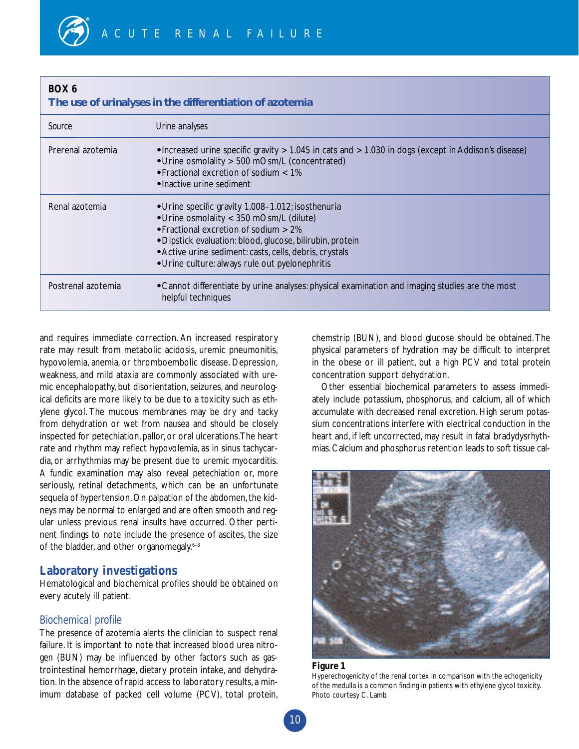## **The use of urinalyses in the differentiation of azotemia**

| Source             | Urine analyses                                                                                                                                                                                                                                                                                                              |
|--------------------|-----------------------------------------------------------------------------------------------------------------------------------------------------------------------------------------------------------------------------------------------------------------------------------------------------------------------------|
| Prerenal azotemia  | • Increased urine specific gravity > 1.045 in cats and > 1.030 in dogs (except in Addison's disease)<br>• Urine osmolality > 500 mOsm/L (concentrated)<br>• Fractional excretion of sodium < 1%<br>• Inactive urine sediment                                                                                                |
| Renal azotemia     | • Urine specific gravity 1.008-1.012; isosthenuria<br>• Urine osmolality < 350 mOsm/L (dilute)<br>$\cdot$ Fractional excretion of sodium $> 2\%$<br>• Dipstick evaluation: blood, glucose, bilirubin, protein<br>• Active urine sediment: casts, cells, debris, crystals<br>• Urine culture: always rule out pyelonephritis |
| Postrenal azotemia | • Cannot differentiate by urine analyses: physical examination and imaging studies are the most<br>helpful techniques                                                                                                                                                                                                       |

and requires immediate correction. An increased respiratory rate may result from metabolic acidosis, uremic pneumonitis, hypovolemia, anemia, or thromboembolic disease. Depression, weakness, and mild ataxia are commonly associated with uremic encephalopathy, but disorientation, seizures, and neurological deficits are more likely to be due to a toxicity such as ethylene glycol. The mucous membranes may be dry and tacky from dehydration or wet from nausea and should be closely inspected for petechiation, pallor, or oral ulcerations.The heart rate and rhythm may reflect hypovolemia, as in sinus tachycardia, or arrhythmias may be present due to uremic myocarditis. A fundic examination may also reveal petechiation or, more seriously, retinal detachments, which can be an unfortunate sequela of hypertension. On palpation of the abdomen, the kidneys may be normal to enlarged and are often smooth and regular unless previous renal insults have occurred. Other pertinent findings to note include the presence of ascites, the size of the bladder, and other organomegaly.<sup>6-8</sup>

# **Laboratory investigations**

Hematological and biochemical profiles should be obtained on every acutely ill patient.

# *Biochemical profile*

The presence of azotemia alerts the clinician to suspect renal failure. It is important to note that increased blood urea nitrogen (BUN) may be influenced by other factors such as gastrointestinal hemorrhage, dietary protein intake, and dehydration. In the absence of rapid access to laboratory results, a minimum database of packed cell volume (PCV), total protein, chemstrip (BUN), and blood glucose should be obtained.The physical parameters of hydration may be difficult to interpret in the obese or ill patient, but a high PCV and total protein concentration support dehydration.

Other essential biochemical parameters to assess immediately include potassium, phosphorus, and calcium, all of which accumulate with decreased renal excretion. High serum potassium concentrations interfere with electrical conduction in the heart and, if left uncorrected, may result in fatal bradydysrhythmias.Calcium and phosphorus retention leads to soft tissue cal-



#### **Figure 1**

Hyperechogenicity of the renal cortex in comparison with the echogenicity of the medulla is a common finding in patients with ethylene glycol toxicity. Photo courtesy C. Lamb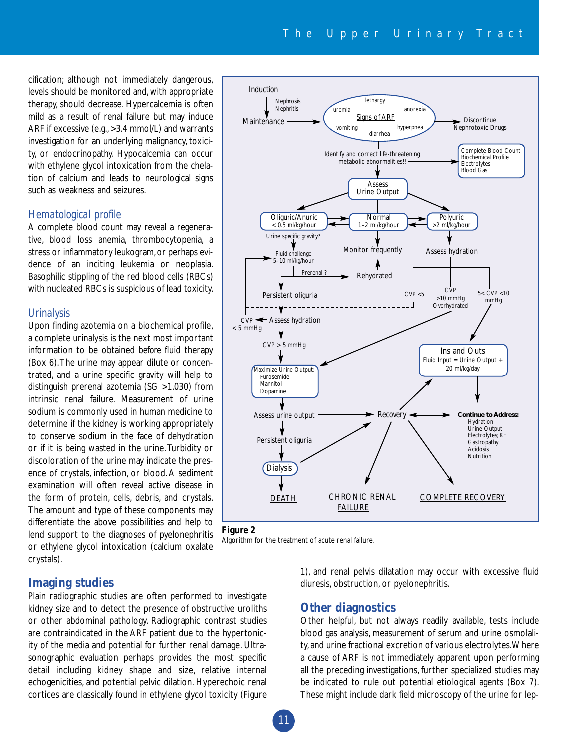cification; although not immediately dangerous, levels should be monitored and, with appropriate therapy, should decrease. Hypercalcemia is often mild as a result of renal failure but may induce ARF if excessive (e.g., >3.4 mmol/L) and warrants investigation for an underlying malignancy, toxicity, or endocrinopathy. Hypocalcemia can occur with ethylene glycol intoxication from the chelation of calcium and leads to neurological signs such as weakness and seizures.

#### *Hematological profile*

A complete blood count may reveal a regenerative, blood loss anemia, thrombocytopenia, a stress or inflammatory leukogram,or perhaps evidence of an inciting leukemia or neoplasia. Basophilic stippling of the red blood cells (RBCs) with nucleated RBCs is suspicious of lead toxicity.

#### *Urinalysis*

Upon finding azotemia on a biochemical profile, a complete urinalysis is the next most important information to be obtained *before* fluid therapy (Box 6).The urine may appear dilute or concentrated, and a urine specific gravity will help to distinguish prerenal azotemia (SG >1.030) from intrinsic renal failure. Measurement of urine sodium is commonly used in human medicine to determine if the kidney is working appropriately to conserve sodium in the face of dehydration or if it is being wasted in the urine.Turbidity or discoloration of the urine may indicate the presence of crystals, infection, or blood. A sediment examination will often reveal active disease in the form of protein, cells, debris, and crystals. The amount and type of these components may differentiate the above possibilities and help to lend support to the diagnoses of pyelonephritis or ethylene glycol intoxication (calcium oxalate crystals).

# **Imaging studies**

Plain radiographic studies are often performed to investigate kidney size and to detect the presence of obstructive uroliths or other abdominal pathology. Radiographic contrast studies are contraindicated in the ARF patient due to the hypertonicity of the media and potential for further renal damage. Ultrasonographic evaluation perhaps provides the most specific detail including kidney shape and size, relative internal echogenicities, and potential pelvic dilation. Hyperechoic renal cortices are classically found in ethylene glycol toxicity (Figure







1), and renal pelvis dilatation may occur with excessive fluid diuresis, obstruction, or pyelonephritis.

# **Other diagnostics**

Other helpful, but not always readily available, tests include blood gas analysis, measurement of serum and urine osmolality, and urine fractional excretion of various electrolytes.Where a cause of ARF is not immediately apparent upon performing all the preceding investigations, further specialized studies may be indicated to rule out potential etiological agents (Box 7). These might include dark field microscopy of the urine for lep-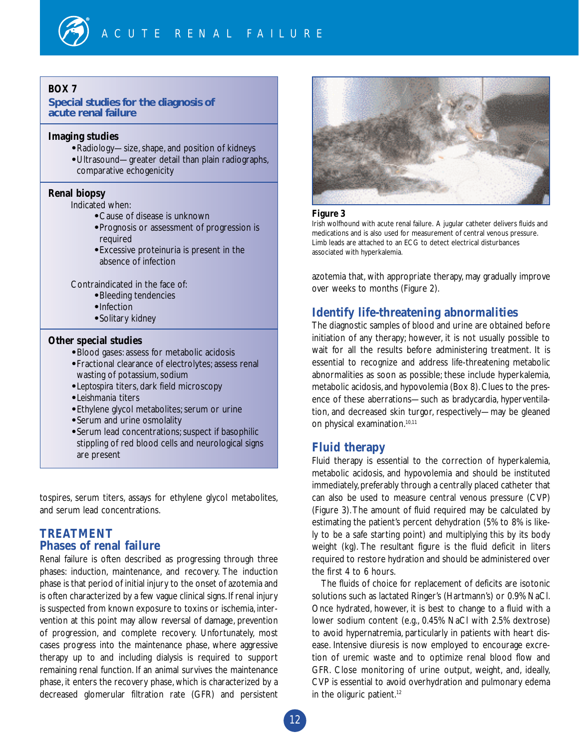## **Special studies for the diagnosis of acute renal failure**

#### **Imaging studies**

- **•** Radiology—size, shape, and position of kidneys
- **•** Ultrasound—greater detail than plain radiographs, comparative echogenicity

# **Renal biopsy**

Indicated when:

- **•** Cause of disease is unknown
- **•** Prognosis or assessment of progression is required
- **•** Excessive proteinuria is present in the absence of infection

Contraindicated in the face of:

- **•** Bleeding tendencies
- **•** Infection
- **•** Solitary kidney

# **Other special studies**

- **•** Blood gases: assess for metabolic acidosis
- **•** Fractional clearance of electrolytes; assess renal wasting of potassium, sodium
- **•** *Leptospira* titers, dark field microscopy
- **•** *Leishmania* titers
- **•** Ethylene glycol metabolites; serum or urine
- **•** Serum and urine osmolality
- **•** Serum lead concentrations; suspect if basophilic stippling of red blood cells and neurological signs are present

tospires, serum titers, assays for ethylene glycol metabolites, and serum lead concentrations.

# **TREATMENT Phases of renal failure**

Renal failure is often described as progressing through three phases: induction, maintenance, and recovery. The induction phase is that period of initial injury to the onset of azotemia and is often characterized by a few vague clinical signs. If renal injury is suspected from known exposure to toxins or ischemia, intervention at this point may allow reversal of damage, prevention of progression, and complete recovery. Unfortunately, most cases progress into the maintenance phase, where aggressive therapy up to and including dialysis is required to support remaining renal function. If an animal survives the maintenance phase, it enters the recovery phase, which is characterized by a decreased glomerular filtration rate (GFR) and persistent



#### **Figure 3**

Irish wolfhound with acute renal failure. A jugular catheter delivers fluids and medications and is also used for measurement of central venous pressure. Limb leads are attached to an ECG to detect electrical disturbances associated with hyperkalemia.

azotemia that, with appropriate therapy, may gradually improve over weeks to months (Figure 2).

# **Identify life-threatening abnormalities**

The diagnostic samples of blood and urine are obtained before initiation of any therapy; however, it is not usually possible to wait for all the results before administering treatment. It is essential to recognize and address life-threatening metabolic abnormalities as soon as possible; these include hyperkalemia, metabolic acidosis,and hypovolemia (Box 8).Clues to the presence of these aberrations—such as bradycardia, hyperventilation, and decreased skin turgor, respectively—may be gleaned on physical examination.10,11

# **Fluid therapy**

Fluid therapy is essential to the correction of hyperkalemia, metabolic acidosis, and hypovolemia and should be instituted immediately, preferably through a centrally placed catheter that can also be used to measure central venous pressure (CVP) (Figure 3).The amount of fluid required may be calculated by estimating the patient's percent dehydration (5% to 8% is likely to be a safe starting point) and multiplying this by its body weight (kg). The resultant figure is the fluid deficit in liters required to restore hydration and should be administered over the first 4 to 6 hours.

The fluids of choice for replacement of deficits are isotonic solutions such as lactated Ringer's (Hartmann's) or 0.9% NaCl. Once hydrated, however, it is best to change to a fluid with a lower sodium content (e.g., 0.45% NaCl with 2.5% dextrose) to avoid hypernatremia, particularly in patients with heart disease. Intensive diuresis is now employed to encourage excretion of uremic waste and to optimize renal blood flow and GFR. Close monitoring of urine output, weight, and, ideally, CVP is essential to avoid overhydration and pulmonary edema in the oliguric patient. $12$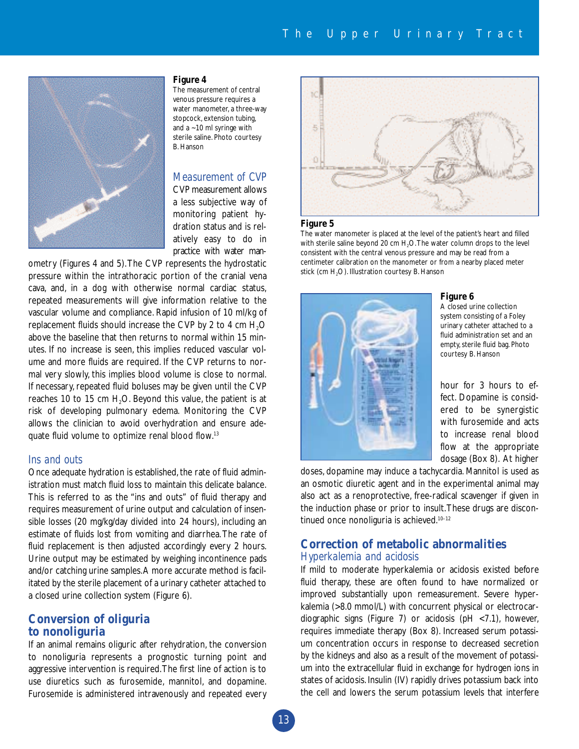

#### **Figure 4**

The measurement of central venous pressure requires a water manometer, a three-way stopcock, extension tubing, and a ~10 ml syringe with sterile saline. Photo courtesy B. Hanson

#### *Measurement of CVP*

CVP measurement allows a less subjective way of monitoring patient hydration status and is relatively easy to do in practice with water man-

ometry (Figures 4 and 5).The CVP represents the hydrostatic pressure within the intrathoracic portion of the cranial vena cava, and, in a dog with otherwise normal cardiac status, repeated measurements will give information relative to the vascular volume and compliance. Rapid infusion of 10 ml/kg of replacement fluids should increase the CVP by 2 to 4 cm  $H_2O$ above the baseline that then returns to normal within 15 minutes. If no increase is seen, this implies reduced vascular volume and more fluids are required. If the CVP returns to normal very slowly, this implies blood volume is close to normal. If necessary, repeated fluid boluses may be given until the CVP reaches 10 to 15 cm  $H<sub>2</sub>O$ . Beyond this value, the patient is at risk of developing pulmonary edema. Monitoring the CVP allows the clinician to avoid overhydration and ensure adequate fluid volume to optimize renal blood flow.13

#### *Ins and outs*

Once adequate hydration is established, the rate of fluid administration must match fluid loss to maintain this delicate balance. This is referred to as the "ins and outs" of fluid therapy and requires measurement of urine output and calculation of insensible losses (20 mg/kg/day divided into 24 hours), including an estimate of fluids lost from vomiting and diarrhea.The rate of fluid replacement is then adjusted accordingly every 2 hours. Urine output may be estimated by weighing incontinence pads and/or catching urine samples.A more accurate method is facilitated by the sterile placement of a urinary catheter attached to a closed urine collection system (Figure 6).

# **Conversion of oliguria to nonoliguria**

If an animal remains oliguric after rehydration, the conversion to nonoliguria represents a prognostic turning point and aggressive intervention is required.The first line of action is to use diuretics such as furosemide, mannitol, and dopamine. Furosemide is administered intravenously and repeated every



#### **Figure 5**

The water manometer is placed at the level of the patient's heart and filled with sterile saline beyond 20 cm  $H_2O$ . The water column drops to the level consistent with the central venous pressure and may be read from a centimeter calibration on the manometer or from a nearby placed meter stick (cm  $H_2O$ ). Illustration courtesy B. Hanson



#### **Figure 6**

A closed urine collection system consisting of a Foley urinary catheter attached to a fluid administration set and an empty, sterile fluid bag. Photo courtesy B. Hanson

hour for 3 hours to effect. Dopamine is considered to be synergistic with furosemide and acts to increase renal blood flow at the appropriate dosage (Box 8). At higher

doses, dopamine may induce a tachycardia. Mannitol is used as an osmotic diuretic agent and in the experimental animal may also act as a renoprotective, free-radical scavenger if given in the induction phase or prior to insult.These drugs are discontinued once nonoliguria is achieved.<sup>10-12</sup>

# **Correction of metabolic abnormalities** *Hyperkalemia and acidosis*

If mild to moderate hyperkalemia or acidosis existed before fluid therapy, these are often found to have normalized or improved substantially upon remeasurement. Severe hyperkalemia (>8.0 mmol/L) with concurrent physical or electrocardiographic signs (Figure 7) or acidosis (pH <7.1), however, requires immediate therapy (Box 8). Increased serum potassium concentration occurs in response to decreased secretion by the kidneys and also as a result of the movement of potassium into the extracellular fluid in exchange for hydrogen ions in states of acidosis. Insulin (IV) rapidly drives potassium back into the cell and lowers the serum potassium levels that interfere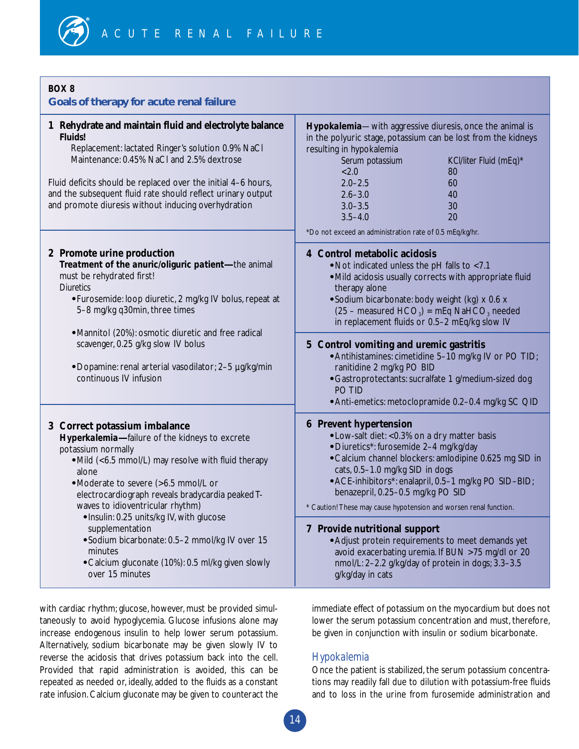| Goals of therapy for acute renal failure                                                                                                                                                                                                                                                                                                                                                                                                                                                                   |                                                                                                                                                                                                                                                                                                                                                                                                                                                                                                                                                                                                               |
|------------------------------------------------------------------------------------------------------------------------------------------------------------------------------------------------------------------------------------------------------------------------------------------------------------------------------------------------------------------------------------------------------------------------------------------------------------------------------------------------------------|---------------------------------------------------------------------------------------------------------------------------------------------------------------------------------------------------------------------------------------------------------------------------------------------------------------------------------------------------------------------------------------------------------------------------------------------------------------------------------------------------------------------------------------------------------------------------------------------------------------|
| 1 Rehydrate and maintain fluid and electrolyte balance<br><b>Fluids!</b><br>Replacement: lactated Ringer's solution 0.9% NaCl<br>Maintenance: 0.45% NaCl and 2.5% dextrose<br>Fluid deficits should be replaced over the initial 4-6 hours,<br>and the subsequent fluid rate should reflect urinary output<br>and promote diuresis without inducing overhydration                                                                                                                                          | Hypokalemia-with aggressive diuresis, once the animal is<br>in the polyuric stage, potassium can be lost from the kidneys<br>resulting in hypokalemia<br>Serum potassium<br>KCl/liter Fluid (mEq)*<br>< 2.0<br>80<br>$2.0 - 2.5$<br>60<br>$2.6 - 3.0$<br>40<br>$3.0 - 3.5$<br>30<br>20<br>$3.5 - 4.0$<br>*Do not exceed an administration rate of 0.5 mEq/kg/hr.                                                                                                                                                                                                                                              |
| 2 Promote urine production<br>Treatment of the anuric/oliguric patient-the animal<br>must be rehydrated first!<br><b>Diuretics</b><br>• Furosemide: loop diuretic, 2 mg/kg IV bolus, repeat at<br>5-8 mg/kg q30min, three times<br>• Mannitol (20%): osmotic diuretic and free radical<br>scavenger, 0.25 g/kg slow IV bolus<br>· Dopamine: renal arterial vasodilator; 2-5 µg/kg/min<br>continuous IV infusion                                                                                            | 4 Control metabolic acidosis<br>• Not indicated unless the pH falls to <7.1<br>• Mild acidosis usually corrects with appropriate fluid<br>therapy alone<br>· Sodium bicarbonate: body weight (kg) x 0.6 x<br>$(25 -$ measured HCO <sub>3</sub> ) = mEq NaHCO <sub>3</sub> needed<br>in replacement fluids or 0.5-2 mEq/kg slow IV<br>5 Control vomiting and uremic gastritis<br>• Antihistamines: cimetidine 5-10 mg/kg IV or PO TID;<br>ranitidine 2 mg/kg PO BID<br>· Gastroprotectants: sucralfate 1 g/medium-sized dog<br>PO TID<br>• Anti-emetics: metoclopramide 0.2-0.4 mg/kg SC QID                   |
| 3 Correct potassium imbalance<br>Hyperkalemia-failure of the kidneys to excrete<br>potassium normally<br>• Mild (<6.5 mmol/L) may resolve with fluid therapy<br>alone<br>• Moderate to severe (>6.5 mmol/L or<br>electrocardiograph reveals bradycardia peaked T-<br>waves to idioventricular rhythm)<br>• Insulin: 0.25 units/kg IV, with glucose<br>supplementation<br>· Sodium bicarbonate: 0.5-2 mmol/kg IV over 15<br>minutes<br>• Calcium gluconate (10%): 0.5 ml/kg given slowly<br>over 15 minutes | <b>6</b> Prevent hypertension<br>• Low-salt diet: < 0.3% on a dry matter basis<br>· Diuretics*: furosemide 2-4 mg/kg/day<br>• Calcium channel blockers: amlodipine 0.625 mg SID in<br>cats, 0.5-1.0 mg/kg SID in dogs<br>• ACE-inhibitors*: enalapril, 0.5-1 mg/kg PO SID-BID;<br>benazepril, 0.25-0.5 mg/kg PO SID<br>* Caution! These may cause hypotension and worsen renal function.<br>7 Provide nutritional support<br>• Adjust protein requirements to meet demands yet<br>avoid exacerbating uremia. If BUN >75 mg/dl or 20<br>nmol/L: 2-2.2 g/kg/day of protein in dogs; 3.3-3.5<br>g/kg/day in cats |

with cardiac rhythm; glucose, however, must be provided simultaneously to avoid hypoglycemia. Glucose infusions alone may increase endogenous insulin to help lower serum potassium. Alternatively, sodium bicarbonate may be given slowly IV to reverse the acidosis that drives potassium back into the cell. Provided that rapid administration is avoided, this can be repeated as needed or, ideally, added to the fluids as a constant rate infusion. Calcium gluconate may be given to counteract the

immediate effect of potassium on the myocardium but does not lower the serum potassium concentration and must, therefore, be given in conjunction with insulin or sodium bicarbonate.

# *Hypokalemia*

Once the patient is stabilized, the serum potassium concentrations may readily fall due to dilution with potassium-free fluids and to loss in the urine from furosemide administration and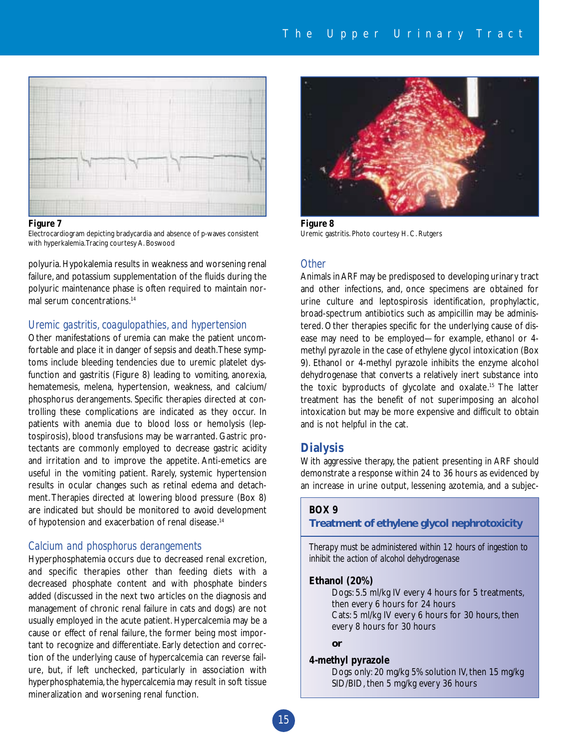

#### **Figure 7**

Electrocardiogram depicting bradycardia and absence of p-waves consistent with hyperkalemia.Tracing courtesy A. Boswood

polyuria. Hypokalemia results in weakness and worsening renal failure, and potassium supplementation of the fluids during the polyuric maintenance phase is often required to maintain normal serum concentrations.<sup>14</sup>

#### *Uremic gastritis, coagulopathies, and hypertension*

Other manifestations of uremia can make the patient uncomfortable and place it in danger of sepsis and death.These symptoms include bleeding tendencies due to uremic platelet dysfunction and gastritis (Figure 8) leading to vomiting, anorexia, hematemesis, melena, hypertension, weakness, and calcium/ phosphorus derangements. Specific therapies directed at controlling these complications are indicated as they occur. In patients with anemia due to blood loss or hemolysis (leptospirosis), blood transfusions may be warranted. Gastric protectants are commonly employed to decrease gastric acidity and irritation and to improve the appetite. Anti-emetics are useful in the vomiting patient. Rarely, systemic hypertension results in ocular changes such as retinal edema and detachment. Therapies directed at lowering blood pressure (Box 8) are indicated but should be monitored to avoid development of hypotension and exacerbation of renal disease.<sup>14</sup>

## *Calcium and phosphorus derangements*

Hyperphosphatemia occurs due to decreased renal excretion, and specific therapies other than feeding diets with a decreased phosphate content and with phosphate binders added (discussed in the next two articles on the diagnosis and management of chronic renal failure in cats and dogs) are not usually employed in the acute patient. Hypercalcemia may be a cause or effect of renal failure, the former being most important to recognize and differentiate. Early detection and correction of the underlying cause of hypercalcemia can reverse failure, but, if left unchecked, particularly in association with hyperphosphatemia, the hypercalcemia may result in soft tissue mineralization and worsening renal function.



**Figure 8** Uremic gastritis. Photo courtesy H. C. Rutgers

#### *Other*

Animals in ARF may be predisposed to developing urinary tract and other infections, and, once specimens are obtained for urine culture and leptospirosis identification, prophylactic, broad-spectrum antibiotics such as ampicillin may be administered. Other therapies specific for the underlying cause of disease may need to be employed—for example, ethanol or 4 methyl pyrazole in the case of ethylene glycol intoxication (Box 9). Ethanol or 4-methyl pyrazole inhibits the enzyme alcohol dehydrogenase that converts a relatively inert substance into the toxic byproducts of glycolate and oxalate.15 The latter treatment has the benefit of not superimposing an alcohol intoxication but may be more expensive and difficult to obtain and is not helpful in the cat.

#### **Dialysis**

With aggressive therapy, the patient presenting in ARF should demonstrate a response within 24 to 36 hours as evidenced by an increase in urine output, lessening azotemia, and a subjec-

#### **BOX 9**

# **Treatment of ethylene glycol nephrotoxicity**

*Therapy must be administered within 12 hours of ingestion to inhibit the action of alcohol dehydrogenase*

#### **Ethanol (20%)**

Dogs: 5.5 ml/kg IV every 4 hours for 5 treatments, then every 6 hours for 24 hours Cats: 5 ml/kg IV every 6 hours for 30 hours, then every 8 hours for 30 hours

**or**

#### **4-methyl pyrazole**

Dogs only: 20 mg/kg 5% solution IV, then 15 mg/kg SID/BID, then 5 mg/kg every 36 hours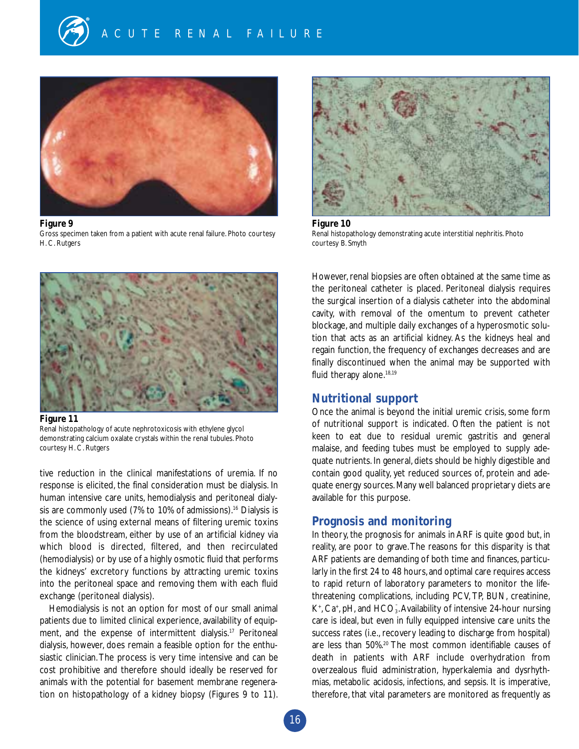

#### **Figure 9**

Gross specimen taken from a patient with acute renal failure. Photo courtesy H. C. Rutgers



**Figure 10** Renal histopathology demonstrating acute interstitial nephritis. Photo courtesy B. Smyth



**Figure 11** Renal histopathology of acute nephrotoxicosis with ethylene glycol demonstrating calcium oxalate crystals within the renal tubules. Photo courtesy H. C. Rutgers

tive reduction in the clinical manifestations of uremia. If no response is elicited, the final consideration must be dialysis. In human intensive care units, hemodialysis and peritoneal dialysis are commonly used (7% to 10% of admissions).<sup>16</sup> Dialysis is the science of using external means of filtering uremic toxins from the bloodstream, either by use of an artificial kidney via which blood is directed, filtered, and then recirculated (hemodialysis) or by use of a highly osmotic fluid that performs the kidneys' excretory functions by attracting uremic toxins into the peritoneal space and removing them with each fluid exchange (peritoneal dialysis).

Hemodialysis is not an option for most of our small animal patients due to limited clinical experience, availability of equipment, and the expense of intermittent dialysis.<sup>17</sup> Peritoneal dialysis, however, does remain a feasible option for the enthusiastic clinician.The process is very time intensive and can be cost prohibitive and therefore should ideally be reserved for animals with the potential for basement membrane regeneration on histopathology of a kidney biopsy (Figures 9 to 11).

However, renal biopsies are often obtained at the same time as the peritoneal catheter is placed. Peritoneal dialysis requires the surgical insertion of a dialysis catheter into the abdominal cavity, with removal of the omentum to prevent catheter blockage, and multiple daily exchanges of a hyperosmotic solution that acts as an artificial kidney. As the kidneys heal and regain function, the frequency of exchanges decreases and are finally discontinued when the animal may be supported with fluid therapy alone.<sup>18,19</sup>

# **Nutritional support**

Once the animal is beyond the initial uremic crisis, some form of nutritional support is indicated. Often the patient is not keen to eat due to residual uremic gastritis and general malaise, and feeding tubes must be employed to supply adequate nutrients. In general, diets should be highly digestible and contain good quality, yet reduced sources of, protein and adequate energy sources.Many well balanced proprietary diets are available for this purpose.

#### **Prognosis and monitoring**

In theory, the prognosis for animals in ARF is quite good but, in reality, are poor to grave.The reasons for this disparity is that ARF patients are demanding of both time and finances, particularly in the first 24 to 48 hours, and optimal care requires access to rapid return of laboratory parameters to monitor the lifethreatening complications, including PCV, TP, BUN, creatinine, K<sup>+</sup>, Ca<sup>+</sup>, pH, and HCO<sub>3</sub>. Availability of intensive 24-hour nursing care is ideal, but even in fully equipped intensive care units the success rates (i.e., recovery leading to discharge from hospital) are less than 50%.<sup>20</sup> The most common identifiable causes of death in patients with ARF include overhydration from overzealous fluid administration, hyperkalemia and dysrhythmias, metabolic acidosis, infections, and sepsis. It is imperative, therefore, that vital parameters are monitored as frequently as